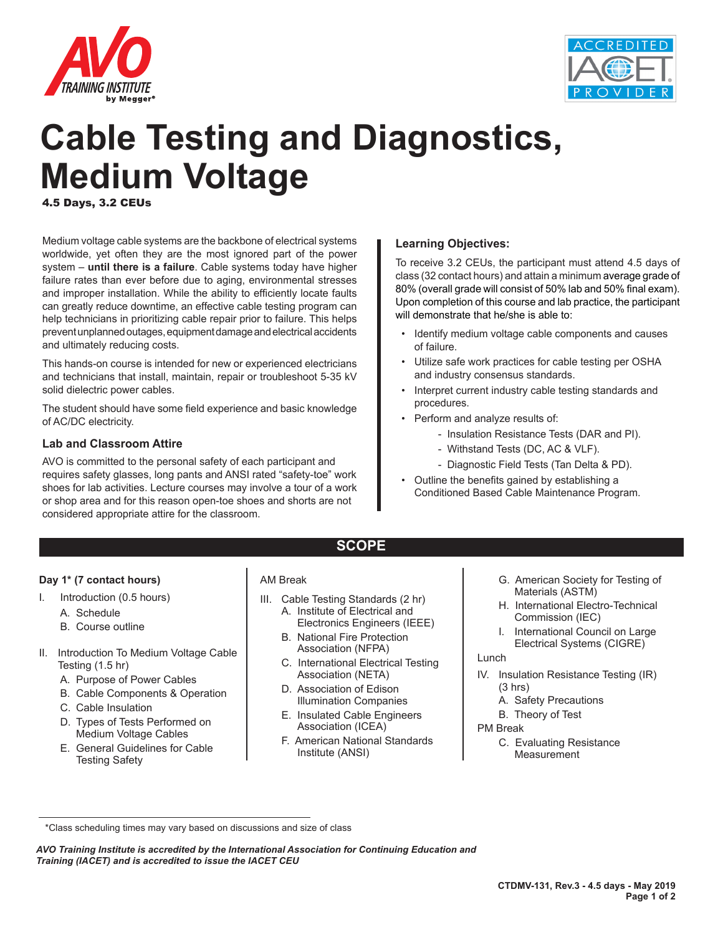



# **Cable Testing and Diagnostics, Medium Voltage**

4.5 Days, 3.2 CEUs

Medium voltage cable systems are the backbone of electrical systems worldwide, yet often they are the most ignored part of the power system – **until there is a failure**. Cable systems today have higher failure rates than ever before due to aging, environmental stresses and improper installation. While the ability to efficiently locate faults can greatly reduce downtime, an effective cable testing program can help technicians in prioritizing cable repair prior to failure. This helps prevent unplanned outages, equipment damage and electrical accidents and ultimately reducing costs.

This hands-on course is intended for new or experienced electricians and technicians that install, maintain, repair or troubleshoot 5-35 kV solid dielectric power cables.

The student should have some field experience and basic knowledge of AC/DC electricity.

#### **Lab and Classroom Attire**

AVO is committed to the personal safety of each participant and requires safety glasses, long pants and ANSI rated "safety-toe" work shoes for lab activities. Lecture courses may involve a tour of a work or shop area and for this reason open-toe shoes and shorts are not considered appropriate attire for the classroom.

#### **Learning Objectives:**

To receive 3.2 CEUs, the participant must attend 4.5 days of class (32 contact hours) and attain a minimum average grade of 80% (overall grade will consist of 50% lab and 50% final exam). Upon completion of this course and lab practice, the participant will demonstrate that he/she is able to:

- Identify medium voltage cable components and causes of failure.
- Utilize safe work practices for cable testing per OSHA and industry consensus standards.
- Interpret current industry cable testing standards and procedures.
- Perform and analyze results of:
	- Insulation Resistance Tests (DAR and PI).
	- Withstand Tests (DC, AC & VLF).
	- Diagnostic Field Tests (Tan Delta & PD).
- Outline the benefits gained by establishing a Conditioned Based Cable Maintenance Program.

# **SCOPE**

#### **Day 1\* (7 contact hours)**

- I. Introduction (0.5 hours)
	- A. Schedule
	- B. Course outline
- II. Introduction To Medium Voltage Cable Testing (1.5 hr)
	- A. Purpose of Power Cables
	- B. Cable Components & Operation
	- C. Cable Insulation
	- D. Types of Tests Performed on Medium Voltage Cables
	- E. General Guidelines for Cable Testing Safety

#### AM Break

- III. Cable Testing Standards (2 hr) A. Institute of Electrical and
	- Electronics Engineers (IEEE) B. National Fire Protection Association (NFPA)
	- C. International Electrical Testing Association (NETA)
	- D. Association of Edison Illumination Companies
	- E. Insulated Cable Engineers Association (ICEA)
	- F. American National Standards Institute (ANSI)
- G. American Society for Testing of Materials (ASTM)
- H. International Electro-Technical Commission (IEC)
- I. International Council on Large Electrical Systems (CIGRE)

#### Lunch

- IV. Insulation Resistance Testing (IR) (3 hrs)
	- A. Safety Precautions
	- B. Theory of Test

#### PM Break

C. Evaluating Resistance **Measurement** 

*AVO Training Institute is accredited by the International Association for Continuing Education and Training (IACET) and is accredited to issue the IACET CEU*

<sup>\*</sup>Class scheduling times may vary based on discussions and size of class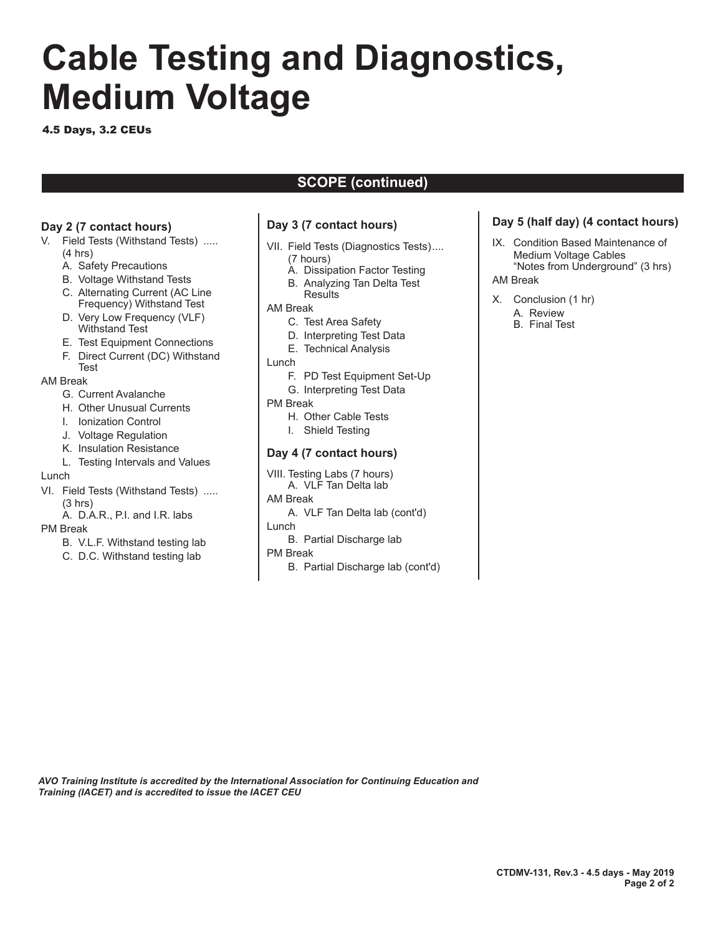# **Cable Testing and Diagnostics, Medium Voltage**

4.5 Days, 3.2 CEUs

# **SCOPE (continued)**

### **Day 2 (7 contact hours)**

- V. Field Tests (Withstand Tests) ..... (4 hrs)
	- A. Safety Precautions
	- B. Voltage Withstand Tests
	- C. Alternating Current (AC Line Frequency) Withstand Test
	- D. Very Low Frequency (VLF) Withstand Test
	- E. Test Equipment Connections
	- F. Direct Current (DC) Withstand Test

#### AM Break

- G. Current Avalanche
- H. Other Unusual Currents
- I. Ionization Control
- J. Voltage Regulation
- K. Insulation Resistance
- L. Testing Intervals and Values

#### Lunch

- VI. Field Tests (Withstand Tests) .....  $(3 hrs)$ 
	- A. D.A.R., P.I. and I.R. labs

#### PM Break

- B. V.L.F. Withstand testing lab
- C. D.C. Withstand testing lab

### **Day 3 (7 contact hours)**

- VII. Field Tests (Diagnostics Tests).... (7 hours)
	- A. Dissipation Factor Testing
	- B. Analyzing Tan Delta Test **Results**

#### AM Break

- C. Test Area Safety
- D. Interpreting Test Data
- E. Technical Analysis
- Lunch
	- F. PD Test Equipment Set-Up
	- G. Interpreting Test Data
- PM Break
	- H. Other Cable Tests
	- I. Shield Testing

#### **Day 4 (7 contact hours)**

- VIII. Testing Labs (7 hours)
- A. VLF Tan Delta lab
- AM Break
- A. VLF Tan Delta lab (cont'd)
- Lunch
	- B. Partial Discharge lab
- PM Break
	- B. Partial Discharge lab (cont'd)

## **Day 5 (half day) (4 contact hours)**

- IX. Condition Based Maintenance of Medium Voltage Cables "Notes from Underground" (3 hrs) AM Break
- 
- X. Conclusion (1 hr)
	- A. Review
	- B. Final Test

*AVO Training Institute is accredited by the International Association for Continuing Education and Training (IACET) and is accredited to issue the IACET CEU*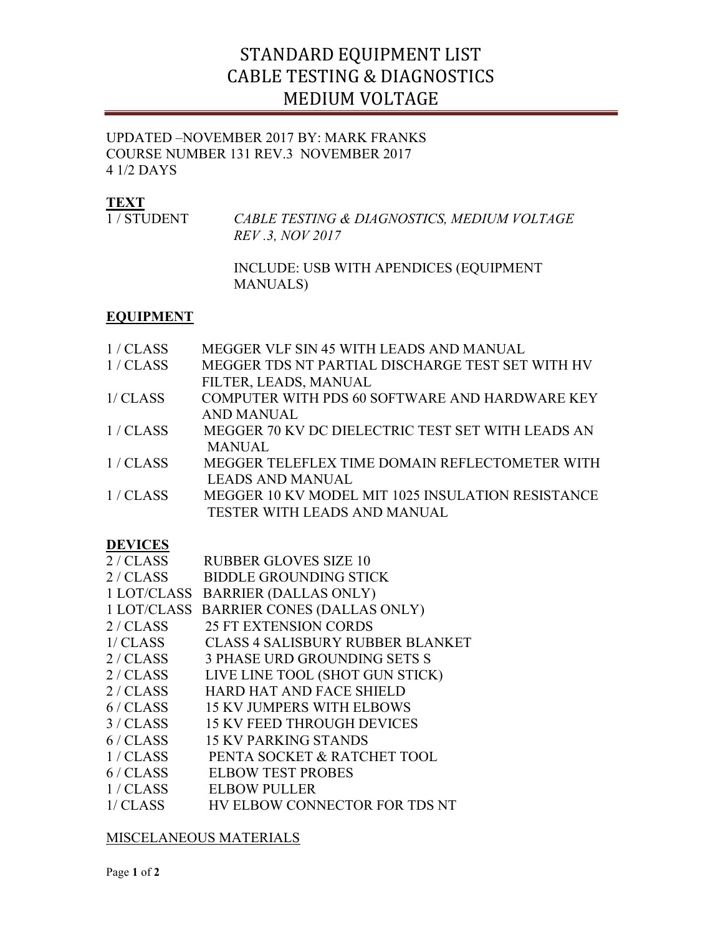# STANDARD EQUIPMENT LIST CABLE TESTING & DIAGNOSTICS MEDIUM VOLTAGE

## UPDATED –NOVEMBER 2017 BY: MARK FRANKS COURSE NUMBER 131 REV.3 NOVEMBER 2017 4 1/2 DAYS

# **TEXT**

| 1/STUDENT | CABLE TESTING & DIAGNOSTICS, MEDIUM VOLTAGE |
|-----------|---------------------------------------------|
|           | <i>REV</i> .3, <i>NOV</i> 2017              |
|           |                                             |

 INCLUDE: USB WITH APENDICES (EQUIPMENT MANUALS)

# **EQUIPMENT**

| 1/CLASS        | MEGGER VLF SIN 45 WITH LEADS AND MANUAL           |  |
|----------------|---------------------------------------------------|--|
| 1/CLASS        | MEGGER TDS NT PARTIAL DISCHARGE TEST SET WITH HV  |  |
|                | FILTER, LEADS, MANUAL                             |  |
| 1/CLASS        | COMPUTER WITH PDS 60 SOFTWARE AND HARDWARE KEY    |  |
|                | <b>AND MANUAL</b>                                 |  |
| 1/CLASS        | MEGGER 70 KV DC DIELECTRIC TEST SET WITH LEADS AN |  |
|                | <b>MANUAL</b>                                     |  |
| 1/CLAS         | MEGGER TELEFLEX TIME DOMAIN REFLECTOMETER WITH    |  |
|                | <b>LEADS AND MANUAL</b>                           |  |
| 1/CLASS        | MEGGER 10 KV MODEL MIT 1025 INSULATION RESISTANCE |  |
|                | TESTER WITH LEADS AND MANUAL                      |  |
|                |                                                   |  |
| <b>DEVICES</b> |                                                   |  |
| 2 / CLASS      | <b>RUBBER GLOVES SIZE 10</b>                      |  |
| 2/CLAS         | <b>BIDDLE GROUNDING STICK</b>                     |  |
|                | 1 LOT/CLASS BARRIER (DALLAS ONLY)                 |  |
| 1 LOT/CLASS    | <b>BARRIER CONES (DALLAS ONLY)</b>                |  |
| 2/CLAS         | <b>25 FT EXTENSION CORDS</b>                      |  |
| 1/CLAS         | <b>CLASS 4 SALISBURY RUBBER BLANKET</b>           |  |
| 2/CLAS         | <b>3 PHASE URD GROUNDING SETS S</b>               |  |
| 2/CLAS         | LIVE LINE TOOL (SHOT GUN STICK)                   |  |
| 2/CLAS         | HARD HAT AND FACE SHIELD                          |  |
| 6/CLAS         | <b>15 KV JUMPERS WITH ELBOWS</b>                  |  |
| 3/CLASS        | <b>15 KV FEED THROUGH DEVICES</b>                 |  |
| 6/CLAS         | <b>15 KV PARKING STANDS</b>                       |  |
| 1/CLAS         | PENTA SOCKET & RATCHET TOOL                       |  |
| 6/CLAS         | <b>ELBOW TEST PROBES</b>                          |  |
| 1/CLASS        | <b>ELBOW PULLER</b>                               |  |
| 1/CLAS         | HV ELBOW CONNECTOR FOR TDS NT                     |  |
|                |                                                   |  |

# MISCELANEOUS MATERIALS